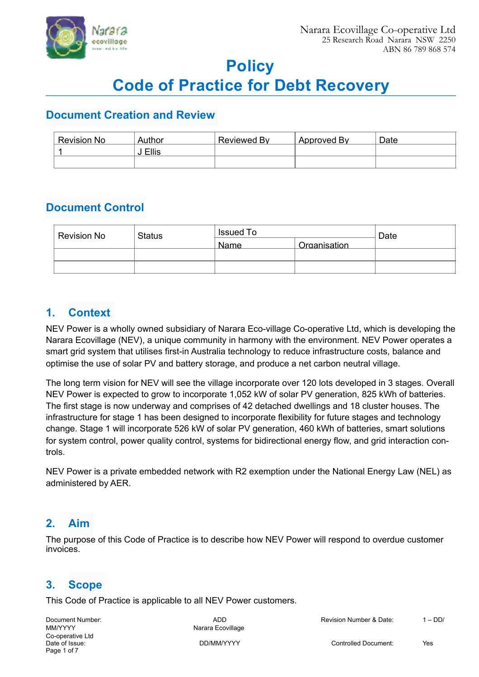

# **Policy**

# **Code of Practice for Debt Recovery**

### **Document Creation and Review**

| <b>Revision No</b> | Author       | Reviewed By | Approved By | Date |
|--------------------|--------------|-------------|-------------|------|
|                    | <b>Ellis</b> |             |             |      |
|                    |              |             |             |      |

# **Document Control**

| <b>Revision No</b> | <b>Status</b> | Issued To   |              | Date |
|--------------------|---------------|-------------|--------------|------|
|                    |               | <b>Name</b> | Organisation |      |
|                    |               |             |              |      |
|                    |               |             |              |      |

## **1. Context**

NEV Power is a wholly owned subsidiary of Narara Eco-village Co-operative Ltd, which is developing the Narara Ecovillage (NEV), a unique community in harmony with the environment. NEV Power operates a smart grid system that utilises first-in Australia technology to reduce infrastructure costs, balance and optimise the use of solar PV and battery storage, and produce a net carbon neutral village.

The long term vision for NEV will see the village incorporate over 120 lots developed in 3 stages. Overall NEV Power is expected to grow to incorporate 1,052 kW of solar PV generation, 825 kWh of batteries. The first stage is now underway and comprises of 42 detached dwellings and 18 cluster houses. The infrastructure for stage 1 has been designed to incorporate flexibility for future stages and technology change. Stage 1 will incorporate 526 kW of solar PV generation, 460 kWh of batteries, smart solutions for system control, power quality control, systems for bidirectional energy flow, and grid interaction controls.

NEV Power is a private embedded network with R2 exemption under the National Energy Law (NEL) as administered by AER.

# **2. Aim**

The purpose of this Code of Practice is to describe how NEV Power will respond to overdue customer invoices.

### **3. Scope**

This Code of Practice is applicable to all NEV Power customers.

MM/YYYY MAG ALL AND MAG AND MAG AND MAG AND MAG AND MAG AND MAG AND MAG AND MAG AND MAG AND MAG AND MAG AND MA Co-operative Ltd<br>Date of Issue: Page 1 of 7

Document Number: ADD Revision Number & Date: 1 – DD/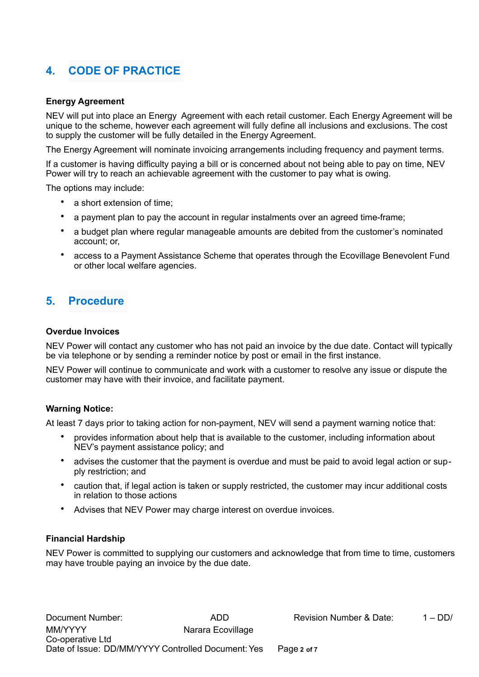# **4. CODE OF PRACTICE**

#### **Energy Agreement**

NEV will put into place an Energy Agreement with each retail customer. Each Energy Agreement will be unique to the scheme, however each agreement will fully define all inclusions and exclusions. The cost to supply the customer will be fully detailed in the Energy Agreement.

The Energy Agreement will nominate invoicing arrangements including frequency and payment terms.

If a customer is having difficulty paying a bill or is concerned about not being able to pay on time, NEV Power will try to reach an achievable agreement with the customer to pay what is owing.

The options may include:

- a short extension of time;
- a payment plan to pay the account in regular instalments over an agreed time-frame;
- a budget plan where regular manageable amounts are debited from the customer's nominated account; or,
- access to a Payment Assistance Scheme that operates through the Ecovillage Benevolent Fund or other local welfare agencies.

### **5. Procedure**

#### **Overdue Invoices**

NEV Power will contact any customer who has not paid an invoice by the due date. Contact will typically be via telephone or by sending a reminder notice by post or email in the first instance.

NEV Power will continue to communicate and work with a customer to resolve any issue or dispute the customer may have with their invoice, and facilitate payment.

#### **Warning Notice:**

At least 7 days prior to taking action for non-payment, NEV will send a payment warning notice that:

- provides information about help that is available to the customer, including information about NEV's payment assistance policy; and
- advises the customer that the payment is overdue and must be paid to avoid legal action or supply restriction; and
- caution that, if legal action is taken or supply restricted, the customer may incur additional costs in relation to those actions
- Advises that NEV Power may charge interest on overdue invoices.

#### **Financial Hardship**

NEV Power is committed to supplying our customers and acknowledge that from time to time, customers may have trouble paying an invoice by the due date.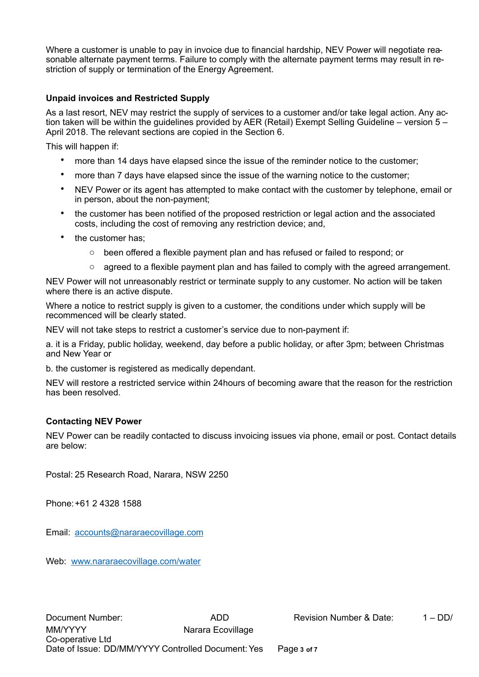Where a customer is unable to pay in invoice due to financial hardship, NEV Power will negotiate reasonable alternate payment terms. Failure to comply with the alternate payment terms may result in restriction of supply or termination of the Energy Agreement.

#### **Unpaid invoices and Restricted Supply**

As a last resort, NEV may restrict the supply of services to a customer and/or take legal action. Any action taken will be within the guidelines provided by AER (Retail) Exempt Selling Guideline – version 5 – April 2018. The relevant sections are copied in the Section 6.

This will happen if:

- more than 14 days have elapsed since the issue of the reminder notice to the customer;
- more than 7 days have elapsed since the issue of the warning notice to the customer;
- NEV Power or its agent has attempted to make contact with the customer by telephone, email or in person, about the non-payment;
- the customer has been notified of the proposed restriction or legal action and the associated costs, including the cost of removing any restriction device; and,
- the customer has;
	- $\circ$  been offered a flexible payment plan and has refused or failed to respond; or
	- $\circ$  agreed to a flexible payment plan and has failed to comply with the agreed arrangement.

NEV Power will not unreasonably restrict or terminate supply to any customer. No action will be taken where there is an active dispute.

Where a notice to restrict supply is given to a customer, the conditions under which supply will be recommenced will be clearly stated.

NEV will not take steps to restrict a customer's service due to non-payment if:

a. it is a Friday, public holiday, weekend, day before a public holiday, or after 3pm; between Christmas and New Year or

b. the customer is registered as medically dependant.

NEV will restore a restricted service within 24hours of becoming aware that the reason for the restriction has been resolved.

#### **Contacting NEV Power**

NEV Power can be readily contacted to discuss invoicing issues via phone, email or post. Contact details are below:

Postal: 25 Research Road, Narara, NSW 2250

Phone: +61 2 4328 1588

Email: [accounts@nararaecovillage.com](mailto:accounts@nararaecovillage.com)

Web: [www.nararaecovillage.com/water](http://www.nararaecovillage.com/water)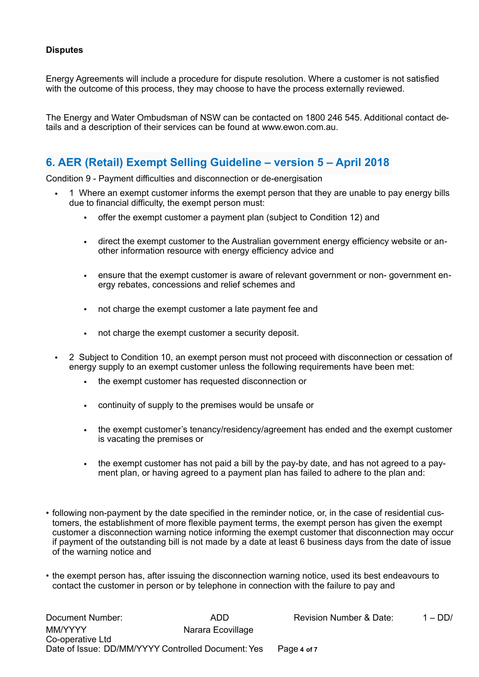#### **Disputes**

Energy Agreements will include a procedure for dispute resolution. Where a customer is not satisfied with the outcome of this process, they may choose to have the process externally reviewed.

The Energy and Water Ombudsman of NSW can be contacted on 1800 246 545. Additional contact details and a description of their services can be found at www.ewon.com.au.

### **6. AER (Retail) Exempt Selling Guideline – version 5 – April 2018**

Condition 9 - Payment difficulties and disconnection or de-energisation

- 1 Where an exempt customer informs the exempt person that they are unable to pay energy bills due to financial difficulty, the exempt person must:
	- offer the exempt customer a payment plan (subject to Condition 12) and
	- direct the exempt customer to the Australian government energy efficiency website or another information resource with energy efficiency advice and
	- ensure that the exempt customer is aware of relevant government or non- government energy rebates, concessions and relief schemes and
	- not charge the exempt customer a late payment fee and
	- not charge the exempt customer a security deposit.
- 2 Subject to Condition 10, an exempt person must not proceed with disconnection or cessation of energy supply to an exempt customer unless the following requirements have been met:
	- the exempt customer has requested disconnection or
	- continuity of supply to the premises would be unsafe or
	- the exempt customer's tenancy/residency/agreement has ended and the exempt customer is vacating the premises or
	- the exempt customer has not paid a bill by the pay-by date, and has not agreed to a payment plan, or having agreed to a payment plan has failed to adhere to the plan and:
- following non-payment by the date specified in the reminder notice, or, in the case of residential customers, the establishment of more flexible payment terms, the exempt person has given the exempt customer a disconnection warning notice informing the exempt customer that disconnection may occur if payment of the outstanding bill is not made by a date at least 6 business days from the date of issue of the warning notice and
- the exempt person has, after issuing the disconnection warning notice, used its best endeavours to contact the customer in person or by telephone in connection with the failure to pay and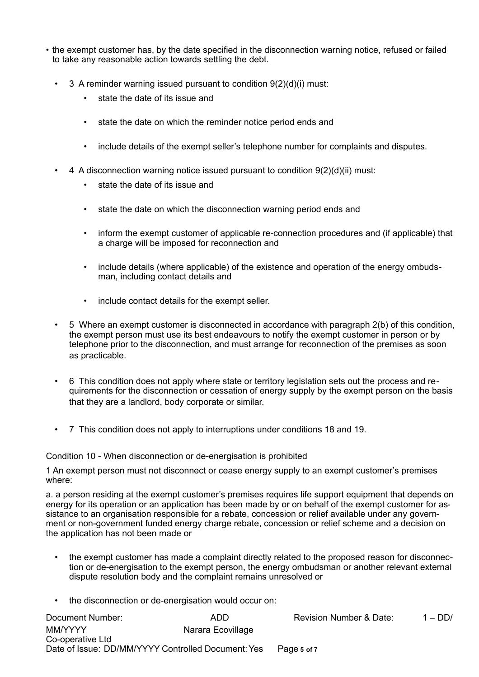- the exempt customer has, by the date specified in the disconnection warning notice, refused or failed to take any reasonable action towards settling the debt.
	- 3 A reminder warning issued pursuant to condition 9(2)(d)(i) must:
		- state the date of its issue and
		- state the date on which the reminder notice period ends and
		- include details of the exempt seller's telephone number for complaints and disputes.
	- 4 A disconnection warning notice issued pursuant to condition 9(2)(d)(ii) must:
		- state the date of its issue and
		- state the date on which the disconnection warning period ends and
		- inform the exempt customer of applicable re-connection procedures and (if applicable) that a charge will be imposed for reconnection and
		- include details (where applicable) of the existence and operation of the energy ombudsman, including contact details and
		- include contact details for the exempt seller.
	- 5 Where an exempt customer is disconnected in accordance with paragraph 2(b) of this condition, the exempt person must use its best endeavours to notify the exempt customer in person or by telephone prior to the disconnection, and must arrange for reconnection of the premises as soon as practicable.
	- 6 This condition does not apply where state or territory legislation sets out the process and requirements for the disconnection or cessation of energy supply by the exempt person on the basis that they are a landlord, body corporate or similar.
	- 7 This condition does not apply to interruptions under conditions 18 and 19.

Condition 10 - When disconnection or de-energisation is prohibited

1 An exempt person must not disconnect or cease energy supply to an exempt customer's premises where:

a. a person residing at the exempt customer's premises requires life support equipment that depends on energy for its operation or an application has been made by or on behalf of the exempt customer for assistance to an organisation responsible for a rebate, concession or relief available under any government or non-government funded energy charge rebate, concession or relief scheme and a decision on the application has not been made or

- the exempt customer has made a complaint directly related to the proposed reason for disconnection or de-energisation to the exempt person, the energy ombudsman or another relevant external dispute resolution body and the complaint remains unresolved or
- the disconnection or de-energisation would occur on:

| Document Number:                                   | ADD               | <b>Revision Number &amp; Date:</b> | $1 - DD/$ |
|----------------------------------------------------|-------------------|------------------------------------|-----------|
| MM/YYYY                                            | Narara Ecovillage |                                    |           |
| Co-operative Ltd                                   |                   |                                    |           |
| Date of Issue: DD/MM/YYYY Controlled Document: Yes |                   | Page 5 of 7                        |           |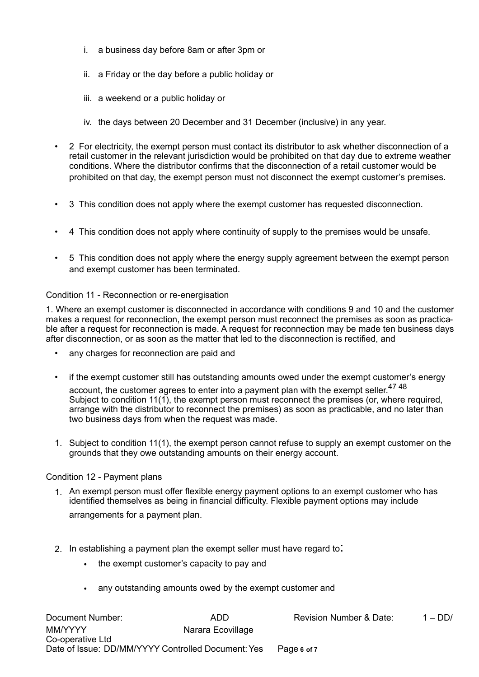- i. a business day before 8am or after 3pm or
- ii. a Friday or the day before a public holiday or
- iii. a weekend or a public holiday or
- iv. the days between 20 December and 31 December (inclusive) in any year.
- 2 For electricity, the exempt person must contact its distributor to ask whether disconnection of a retail customer in the relevant jurisdiction would be prohibited on that day due to extreme weather conditions. Where the distributor confirms that the disconnection of a retail customer would be prohibited on that day, the exempt person must not disconnect the exempt customer's premises.
- 3 This condition does not apply where the exempt customer has requested disconnection.
- 4 This condition does not apply where continuity of supply to the premises would be unsafe.
- 5 This condition does not apply where the energy supply agreement between the exempt person and exempt customer has been terminated.

#### Condition 11 - Reconnection or re-energisation

1. Where an exempt customer is disconnected in accordance with conditions 9 and 10 and the customer makes a request for reconnection, the exempt person must reconnect the premises as soon as practicable after a request for reconnection is made. A request for reconnection may be made ten business days after disconnection, or as soon as the matter that led to the disconnection is rectified, and

- any charges for reconnection are paid and
- if the exempt customer still has outstanding amounts owed under the exempt customer's energy account, the customer agrees to enter into a payment plan with the exempt seller.<sup>47 48</sup> Subject to condition 11(1), the exempt person must reconnect the premises (or, where required, arrange with the distributor to reconnect the premises) as soon as practicable, and no later than two business days from when the request was made.
- 1. Subject to condition 11(1), the exempt person cannot refuse to supply an exempt customer on the grounds that they owe outstanding amounts on their energy account.

#### Condition 12 - Payment plans

- 1. An exempt person must offer flexible energy payment options to an exempt customer who has identified themselves as being in financial difficulty. Flexible payment options may include arrangements for a payment plan.
- 2. In establishing a payment plan the exempt seller must have regard to:
	- the exempt customer's capacity to pay and
	- any outstanding amounts owed by the exempt customer and